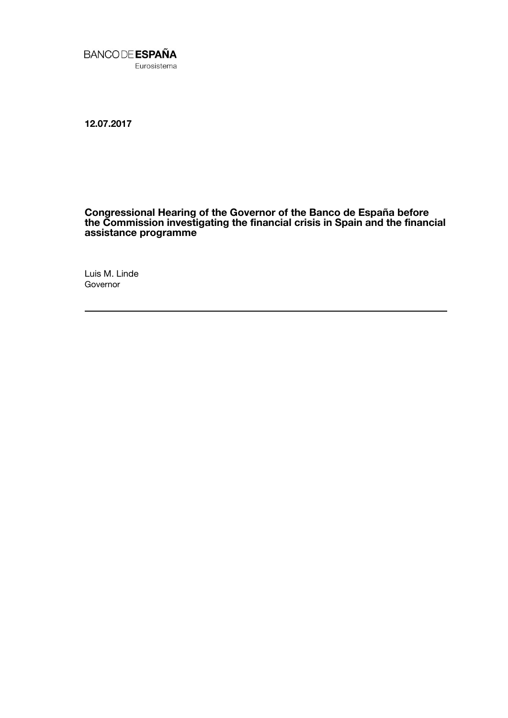

**12.07.2017**

## **Congressional Hearing of the Governor of the Banco de España before the Commission investigating the financial crisis in Spain and the financial assistance programme**

Luis M. Linde **Governor**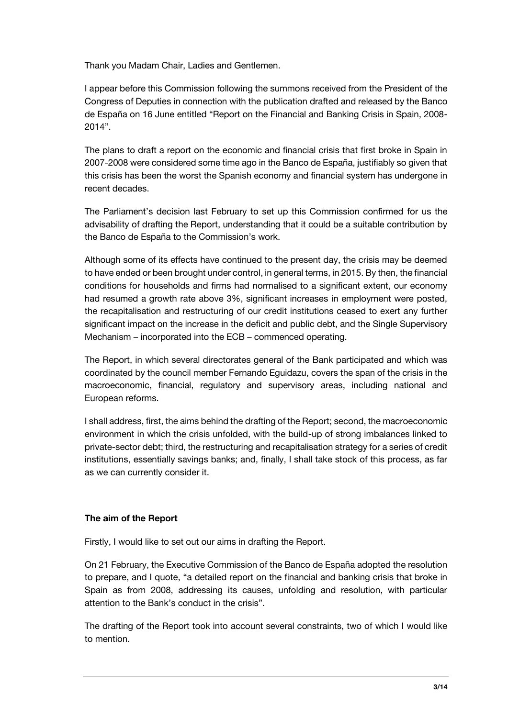Thank you Madam Chair, Ladies and Gentlemen.

I appear before this Commission following the summons received from the President of the Congress of Deputies in connection with the publication drafted and released by the Banco de España on 16 June entitled "Report on the Financial and Banking Crisis in Spain, 2008- 2014".

The plans to draft a report on the economic and financial crisis that first broke in Spain in 2007-2008 were considered some time ago in the Banco de España, justifiably so given that this crisis has been the worst the Spanish economy and financial system has undergone in recent decades.

The Parliament's decision last February to set up this Commission confirmed for us the advisability of drafting the Report, understanding that it could be a suitable contribution by the Banco de España to the Commission's work.

Although some of its effects have continued to the present day, the crisis may be deemed to have ended or been brought under control, in general terms, in 2015. By then, the financial conditions for households and firms had normalised to a significant extent, our economy had resumed a growth rate above 3%, significant increases in employment were posted, the recapitalisation and restructuring of our credit institutions ceased to exert any further significant impact on the increase in the deficit and public debt, and the Single Supervisory Mechanism – incorporated into the ECB – commenced operating.

The Report, in which several directorates general of the Bank participated and which was coordinated by the council member Fernando Eguidazu, covers the span of the crisis in the macroeconomic, financial, regulatory and supervisory areas, including national and European reforms.

I shall address, first, the aims behind the drafting of the Report; second, the macroeconomic environment in which the crisis unfolded, with the build-up of strong imbalances linked to private-sector debt; third, the restructuring and recapitalisation strategy for a series of credit institutions, essentially savings banks; and, finally, I shall take stock of this process, as far as we can currently consider it.

# **The aim of the Report**

Firstly, I would like to set out our aims in drafting the Report.

On 21 February, the Executive Commission of the Banco de España adopted the resolution to prepare, and I quote, "a detailed report on the financial and banking crisis that broke in Spain as from 2008, addressing its causes, unfolding and resolution, with particular attention to the Bank's conduct in the crisis".

The drafting of the Report took into account several constraints, two of which I would like to mention.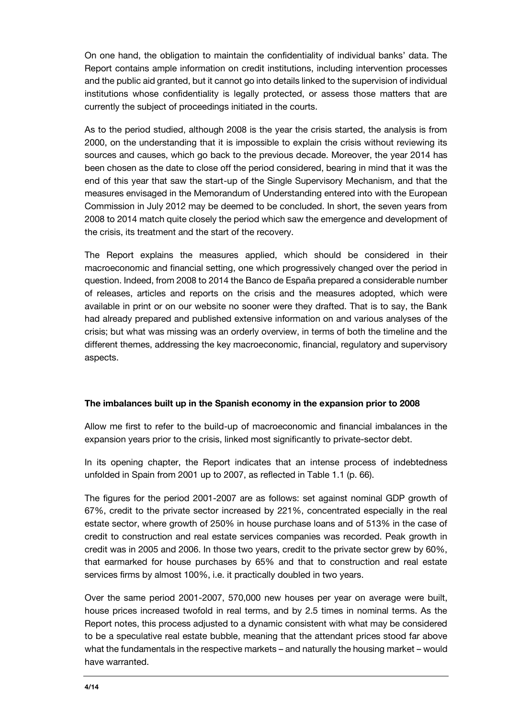On one hand, the obligation to maintain the confidentiality of individual banks' data. The Report contains ample information on credit institutions, including intervention processes and the public aid granted, but it cannot go into details linked to the supervision of individual institutions whose confidentiality is legally protected, or assess those matters that are currently the subject of proceedings initiated in the courts.

As to the period studied, although 2008 is the year the crisis started, the analysis is from 2000, on the understanding that it is impossible to explain the crisis without reviewing its sources and causes, which go back to the previous decade. Moreover, the year 2014 has been chosen as the date to close off the period considered, bearing in mind that it was the end of this year that saw the start-up of the Single Supervisory Mechanism, and that the measures envisaged in the Memorandum of Understanding entered into with the European Commission in July 2012 may be deemed to be concluded. In short, the seven years from 2008 to 2014 match quite closely the period which saw the emergence and development of the crisis, its treatment and the start of the recovery.

The Report explains the measures applied, which should be considered in their macroeconomic and financial setting, one which progressively changed over the period in question. Indeed, from 2008 to 2014 the Banco de España prepared a considerable number of releases, articles and reports on the crisis and the measures adopted, which were available in print or on our website no sooner were they drafted. That is to say, the Bank had already prepared and published extensive information on and various analyses of the crisis; but what was missing was an orderly overview, in terms of both the timeline and the different themes, addressing the key macroeconomic, financial, regulatory and supervisory aspects.

## **The imbalances built up in the Spanish economy in the expansion prior to 2008**

Allow me first to refer to the build-up of macroeconomic and financial imbalances in the expansion years prior to the crisis, linked most significantly to private-sector debt.

In its opening chapter, the Report indicates that an intense process of indebtedness unfolded in Spain from 2001 up to 2007, as reflected in Table 1.1 (p. 66).

The figures for the period 2001-2007 are as follows: set against nominal GDP growth of 67%, credit to the private sector increased by 221%, concentrated especially in the real estate sector, where growth of 250% in house purchase loans and of 513% in the case of credit to construction and real estate services companies was recorded. Peak growth in credit was in 2005 and 2006. In those two years, credit to the private sector grew by 60%, that earmarked for house purchases by 65% and that to construction and real estate services firms by almost 100%, i.e. it practically doubled in two years.

Over the same period 2001-2007, 570,000 new houses per year on average were built, house prices increased twofold in real terms, and by 2.5 times in nominal terms. As the Report notes, this process adjusted to a dynamic consistent with what may be considered to be a speculative real estate bubble, meaning that the attendant prices stood far above what the fundamentals in the respective markets – and naturally the housing market – would have warranted.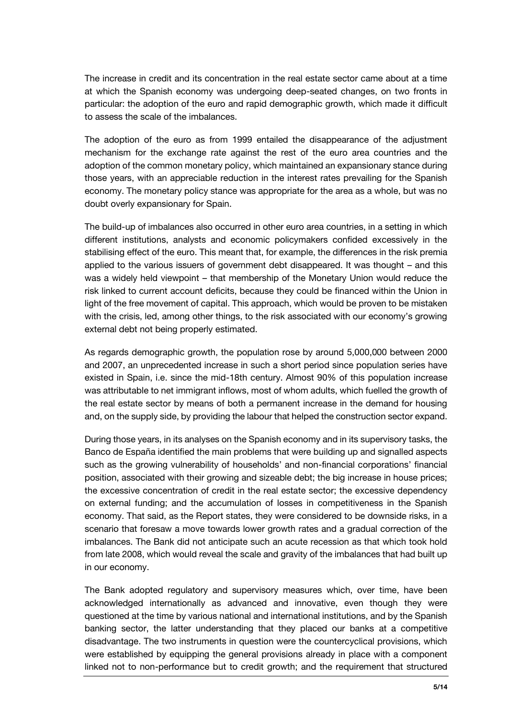The increase in credit and its concentration in the real estate sector came about at a time at which the Spanish economy was undergoing deep-seated changes, on two fronts in particular: the adoption of the euro and rapid demographic growth, which made it difficult to assess the scale of the imbalances.

The adoption of the euro as from 1999 entailed the disappearance of the adjustment mechanism for the exchange rate against the rest of the euro area countries and the adoption of the common monetary policy, which maintained an expansionary stance during those years, with an appreciable reduction in the interest rates prevailing for the Spanish economy. The monetary policy stance was appropriate for the area as a whole, but was no doubt overly expansionary for Spain.

The build-up of imbalances also occurred in other euro area countries, in a setting in which different institutions, analysts and economic policymakers confided excessively in the stabilising effect of the euro. This meant that, for example, the differences in the risk premia applied to the various issuers of government debt disappeared. It was thought – and this was a widely held viewpoint – that membership of the Monetary Union would reduce the risk linked to current account deficits, because they could be financed within the Union in light of the free movement of capital. This approach, which would be proven to be mistaken with the crisis, led, among other things, to the risk associated with our economy's growing external debt not being properly estimated.

As regards demographic growth, the population rose by around 5,000,000 between 2000 and 2007, an unprecedented increase in such a short period since population series have existed in Spain, i.e. since the mid-18th century. Almost 90% of this population increase was attributable to net immigrant inflows, most of whom adults, which fuelled the growth of the real estate sector by means of both a permanent increase in the demand for housing and, on the supply side, by providing the labour that helped the construction sector expand.

During those years, in its analyses on the Spanish economy and in its supervisory tasks, the Banco de España identified the main problems that were building up and signalled aspects such as the growing vulnerability of households' and non-financial corporations' financial position, associated with their growing and sizeable debt; the big increase in house prices; the excessive concentration of credit in the real estate sector; the excessive dependency on external funding; and the accumulation of losses in competitiveness in the Spanish economy. That said, as the Report states, they were considered to be downside risks, in a scenario that foresaw a move towards lower growth rates and a gradual correction of the imbalances. The Bank did not anticipate such an acute recession as that which took hold from late 2008, which would reveal the scale and gravity of the imbalances that had built up in our economy.

The Bank adopted regulatory and supervisory measures which, over time, have been acknowledged internationally as advanced and innovative, even though they were questioned at the time by various national and international institutions, and by the Spanish banking sector, the latter understanding that they placed our banks at a competitive disadvantage. The two instruments in question were the countercyclical provisions, which were established by equipping the general provisions already in place with a component linked not to non-performance but to credit growth; and the requirement that structured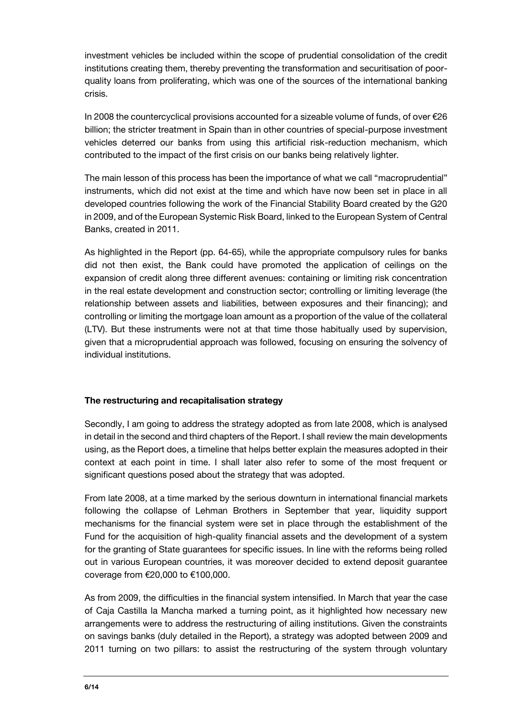investment vehicles be included within the scope of prudential consolidation of the credit institutions creating them, thereby preventing the transformation and securitisation of poorquality loans from proliferating, which was one of the sources of the international banking crisis.

In 2008 the countercyclical provisions accounted for a sizeable volume of funds, of over €26 billion; the stricter treatment in Spain than in other countries of special-purpose investment vehicles deterred our banks from using this artificial risk-reduction mechanism, which contributed to the impact of the first crisis on our banks being relatively lighter.

The main lesson of this process has been the importance of what we call "macroprudential" instruments, which did not exist at the time and which have now been set in place in all developed countries following the work of the Financial Stability Board created by the G20 in 2009, and of the European Systemic Risk Board, linked to the European System of Central Banks, created in 2011.

As highlighted in the Report (pp. 64-65), while the appropriate compulsory rules for banks did not then exist, the Bank could have promoted the application of ceilings on the expansion of credit along three different avenues: containing or limiting risk concentration in the real estate development and construction sector; controlling or limiting leverage (the relationship between assets and liabilities, between exposures and their financing); and controlling or limiting the mortgage loan amount as a proportion of the value of the collateral (LTV). But these instruments were not at that time those habitually used by supervision, given that a microprudential approach was followed, focusing on ensuring the solvency of individual institutions.

## **The restructuring and recapitalisation strategy**

Secondly, I am going to address the strategy adopted as from late 2008, which is analysed in detail in the second and third chapters of the Report. I shall review the main developments using, as the Report does, a timeline that helps better explain the measures adopted in their context at each point in time. I shall later also refer to some of the most frequent or significant questions posed about the strategy that was adopted.

From late 2008, at a time marked by the serious downturn in international financial markets following the collapse of Lehman Brothers in September that year, liquidity support mechanisms for the financial system were set in place through the establishment of the Fund for the acquisition of high-quality financial assets and the development of a system for the granting of State guarantees for specific issues. In line with the reforms being rolled out in various European countries, it was moreover decided to extend deposit guarantee coverage from €20,000 to €100,000.

As from 2009, the difficulties in the financial system intensified. In March that year the case of Caja Castilla la Mancha marked a turning point, as it highlighted how necessary new arrangements were to address the restructuring of ailing institutions. Given the constraints on savings banks (duly detailed in the Report), a strategy was adopted between 2009 and 2011 turning on two pillars: to assist the restructuring of the system through voluntary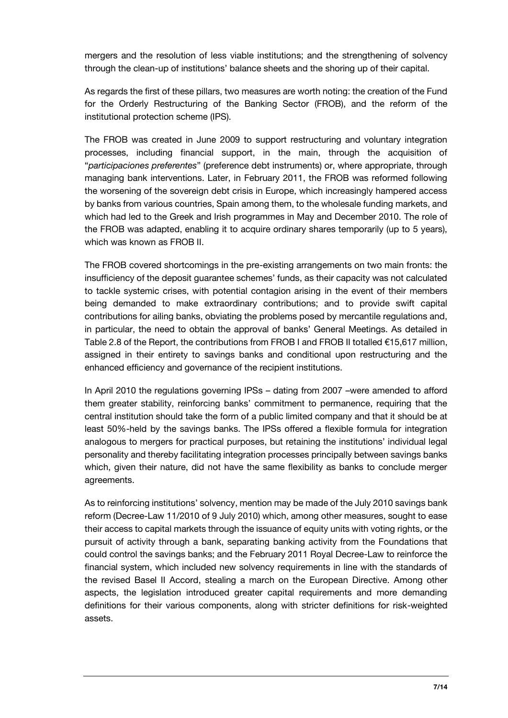mergers and the resolution of less viable institutions; and the strengthening of solvency through the clean-up of institutions' balance sheets and the shoring up of their capital.

As regards the first of these pillars, two measures are worth noting: the creation of the Fund for the Orderly Restructuring of the Banking Sector (FROB), and the reform of the institutional protection scheme (IPS).

The FROB was created in June 2009 to support restructuring and voluntary integration processes, including financial support, in the main, through the acquisition of "*participaciones preferentes*" (preference debt instruments) or, where appropriate, through managing bank interventions. Later, in February 2011, the FROB was reformed following the worsening of the sovereign debt crisis in Europe, which increasingly hampered access by banks from various countries, Spain among them, to the wholesale funding markets, and which had led to the Greek and Irish programmes in May and December 2010. The role of the FROB was adapted, enabling it to acquire ordinary shares temporarily (up to 5 years), which was known as FROB II.

The FROB covered shortcomings in the pre-existing arrangements on two main fronts: the insufficiency of the deposit guarantee schemes' funds, as their capacity was not calculated to tackle systemic crises, with potential contagion arising in the event of their members being demanded to make extraordinary contributions; and to provide swift capital contributions for ailing banks, obviating the problems posed by mercantile regulations and, in particular, the need to obtain the approval of banks' General Meetings. As detailed in Table 2.8 of the Report, the contributions from FROB I and FROB II totalled  $\epsilon$ 15,617 million, assigned in their entirety to savings banks and conditional upon restructuring and the enhanced efficiency and governance of the recipient institutions.

In April 2010 the regulations governing IPSs - dating from 2007 -were amended to afford them greater stability, reinforcing banks' commitment to permanence, requiring that the central institution should take the form of a public limited company and that it should be at least 50%-held by the savings banks. The IPSs offered a flexible formula for integration analogous to mergers for practical purposes, but retaining the institutions' individual legal personality and thereby facilitating integration processes principally between savings banks which, given their nature, did not have the same flexibility as banks to conclude merger agreements.

As to reinforcing institutions' solvency, mention may be made of the July 2010 savings bank reform (Decree-Law 11/2010 of 9 July 2010) which, among other measures, sought to ease their access to capital markets through the issuance of equity units with voting rights, or the pursuit of activity through a bank, separating banking activity from the Foundations that could control the savings banks; and the February 2011 Royal Decree-Law to reinforce the financial system, which included new solvency requirements in line with the standards of the revised Basel II Accord, stealing a march on the European Directive. Among other aspects, the legislation introduced greater capital requirements and more demanding definitions for their various components, along with stricter definitions for risk-weighted assets.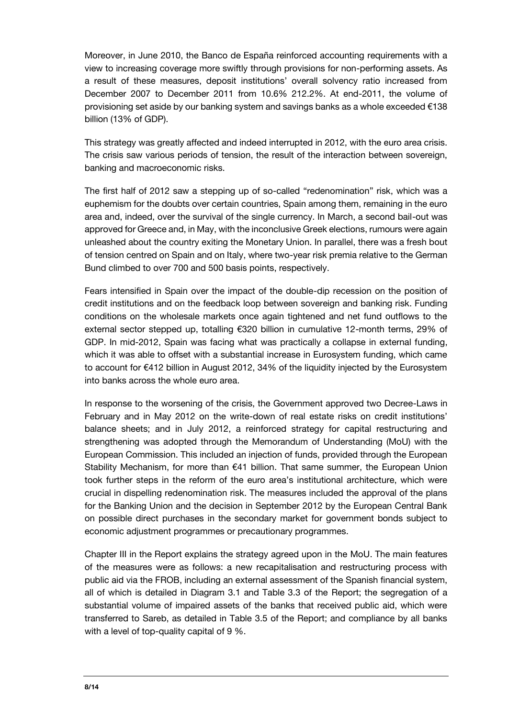Moreover, in June 2010, the Banco de España reinforced accounting requirements with a view to increasing coverage more swiftly through provisions for non-performing assets. As a result of these measures, deposit institutions' overall solvency ratio increased from December 2007 to December 2011 from 10.6% 212.2%. At end-2011, the volume of provisioning set aside by our banking system and savings banks as a whole exceeded €138 billion (13% of GDP).

This strategy was greatly affected and indeed interrupted in 2012, with the euro area crisis. The crisis saw various periods of tension, the result of the interaction between sovereign, banking and macroeconomic risks.

The first half of 2012 saw a stepping up of so-called "redenomination" risk, which was a euphemism for the doubts over certain countries, Spain among them, remaining in the euro area and, indeed, over the survival of the single currency. In March, a second bail-out was approved for Greece and, in May, with the inconclusive Greek elections, rumours were again unleashed about the country exiting the Monetary Union. In parallel, there was a fresh bout of tension centred on Spain and on Italy, where two-year risk premia relative to the German Bund climbed to over 700 and 500 basis points, respectively.

Fears intensified in Spain over the impact of the double-dip recession on the position of credit institutions and on the feedback loop between sovereign and banking risk. Funding conditions on the wholesale markets once again tightened and net fund outflows to the external sector stepped up, totalling €320 billion in cumulative 12-month terms, 29% of GDP. In mid-2012, Spain was facing what was practically a collapse in external funding, which it was able to offset with a substantial increase in Eurosystem funding, which came to account for €412 billion in August 2012, 34% of the liquidity injected by the Eurosystem into banks across the whole euro area.

In response to the worsening of the crisis, the Government approved two Decree-Laws in February and in May 2012 on the write-down of real estate risks on credit institutions' balance sheets; and in July 2012, a reinforced strategy for capital restructuring and strengthening was adopted through the Memorandum of Understanding (MoU) with the European Commission. This included an injection of funds, provided through the European Stability Mechanism, for more than €41 billion. That same summer, the European Union took further steps in the reform of the euro area's institutional architecture, which were crucial in dispelling redenomination risk. The measures included the approval of the plans for the Banking Union and the decision in September 2012 by the European Central Bank on possible direct purchases in the secondary market for government bonds subject to economic adjustment programmes or precautionary programmes.

Chapter III in the Report explains the strategy agreed upon in the MoU. The main features of the measures were as follows: a new recapitalisation and restructuring process with public aid via the FROB, including an external assessment of the Spanish financial system, all of which is detailed in Diagram 3.1 and Table 3.3 of the Report; the segregation of a substantial volume of impaired assets of the banks that received public aid, which were transferred to Sareb, as detailed in Table 3.5 of the Report; and compliance by all banks with a level of top-quality capital of 9 %.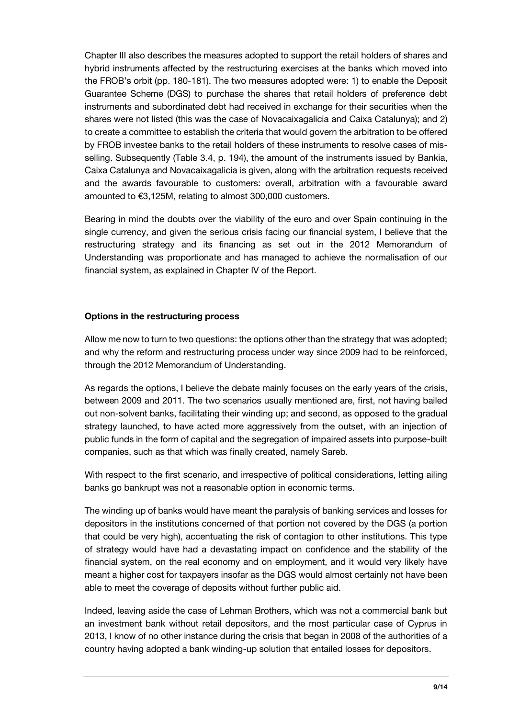Chapter III also describes the measures adopted to support the retail holders of shares and hybrid instruments affected by the restructuring exercises at the banks which moved into the FROB's orbit (pp. 180-181). The two measures adopted were: 1) to enable the Deposit Guarantee Scheme (DGS) to purchase the shares that retail holders of preference debt instruments and subordinated debt had received in exchange for their securities when the shares were not listed (this was the case of Novacaixagalicia and Caixa Catalunya); and 2) to create a committee to establish the criteria that would govern the arbitration to be offered by FROB investee banks to the retail holders of these instruments to resolve cases of misselling. Subsequently (Table 3.4, p. 194), the amount of the instruments issued by Bankia, Caixa Catalunya and Novacaixagalicia is given, along with the arbitration requests received and the awards favourable to customers: overall, arbitration with a favourable award amounted to €3,125M, relating to almost 300,000 customers.

Bearing in mind the doubts over the viability of the euro and over Spain continuing in the single currency, and given the serious crisis facing our financial system, I believe that the restructuring strategy and its financing as set out in the 2012 Memorandum of Understanding was proportionate and has managed to achieve the normalisation of our financial system, as explained in Chapter IV of the Report.

## **Options in the restructuring process**

Allow me now to turn to two questions: the options other than the strategy that was adopted; and why the reform and restructuring process under way since 2009 had to be reinforced, through the 2012 Memorandum of Understanding.

As regards the options, I believe the debate mainly focuses on the early years of the crisis, between 2009 and 2011. The two scenarios usually mentioned are, first, not having bailed out non-solvent banks, facilitating their winding up; and second, as opposed to the gradual strategy launched, to have acted more aggressively from the outset, with an injection of public funds in the form of capital and the segregation of impaired assets into purpose-built companies, such as that which was finally created, namely Sareb.

With respect to the first scenario, and irrespective of political considerations, letting ailing banks go bankrupt was not a reasonable option in economic terms.

The winding up of banks would have meant the paralysis of banking services and losses for depositors in the institutions concerned of that portion not covered by the DGS (a portion that could be very high), accentuating the risk of contagion to other institutions. This type of strategy would have had a devastating impact on confidence and the stability of the financial system, on the real economy and on employment, and it would very likely have meant a higher cost for taxpayers insofar as the DGS would almost certainly not have been able to meet the coverage of deposits without further public aid.

Indeed, leaving aside the case of Lehman Brothers, which was not a commercial bank but an investment bank without retail depositors, and the most particular case of Cyprus in 2013, I know of no other instance during the crisis that began in 2008 of the authorities of a country having adopted a bank winding-up solution that entailed losses for depositors.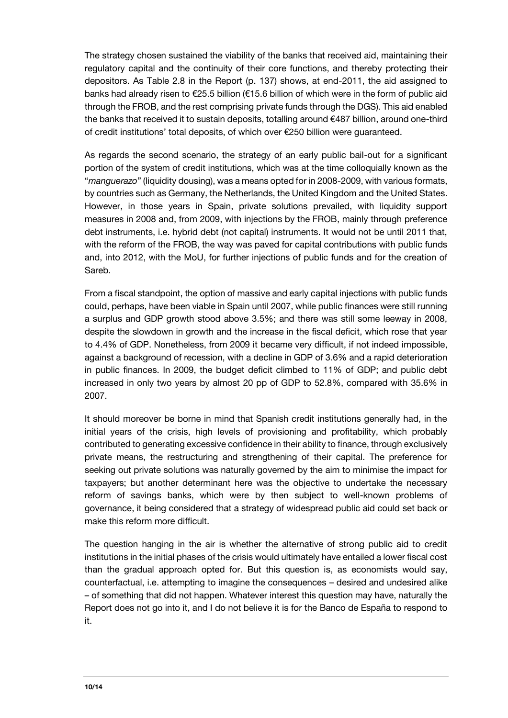The strategy chosen sustained the viability of the banks that received aid, maintaining their regulatory capital and the continuity of their core functions, and thereby protecting their depositors. As Table 2.8 in the Report (p. 137) shows, at end-2011, the aid assigned to banks had already risen to €25.5 billion (€15.6 billion of which were in the form of public aid through the FROB, and the rest comprising private funds through the DGS). This aid enabled the banks that received it to sustain deposits, totalling around €487 billion, around one-third of credit institutions' total deposits, of which over €250 billion were guaranteed.

As regards the second scenario, the strategy of an early public bail-out for a significant portion of the system of credit institutions, which was at the time colloquially known as the "*manguerazo*" (liquidity dousing), was a means opted for in 2008-2009, with various formats, by countries such as Germany, the Netherlands, the United Kingdom and the United States. However, in those years in Spain, private solutions prevailed, with liquidity support measures in 2008 and, from 2009, with injections by the FROB, mainly through preference debt instruments, i.e. hybrid debt (not capital) instruments. It would not be until 2011 that, with the reform of the FROB, the way was paved for capital contributions with public funds and, into 2012, with the MoU, for further injections of public funds and for the creation of Sareb.

From a fiscal standpoint, the option of massive and early capital injections with public funds could, perhaps, have been viable in Spain until 2007, while public finances were still running a surplus and GDP growth stood above 3.5%; and there was still some leeway in 2008, despite the slowdown in growth and the increase in the fiscal deficit, which rose that year to 4.4% of GDP. Nonetheless, from 2009 it became very difficult, if not indeed impossible, against a background of recession, with a decline in GDP of 3.6% and a rapid deterioration in public finances. In 2009, the budget deficit climbed to 11% of GDP; and public debt increased in only two years by almost 20 pp of GDP to 52.8%, compared with 35.6% in 2007.

It should moreover be borne in mind that Spanish credit institutions generally had, in the initial years of the crisis, high levels of provisioning and profitability, which probably contributed to generating excessive confidence in their ability to finance, through exclusively private means, the restructuring and strengthening of their capital. The preference for seeking out private solutions was naturally governed by the aim to minimise the impact for taxpayers; but another determinant here was the objective to undertake the necessary reform of savings banks, which were by then subject to well-known problems of governance, it being considered that a strategy of widespread public aid could set back or make this reform more difficult.

The question hanging in the air is whether the alternative of strong public aid to credit institutions in the initial phases of the crisis would ultimately have entailed a lower fiscal cost than the gradual approach opted for. But this question is, as economists would say, counterfactual, i.e. attempting to imagine the consequences – desired and undesired alike – of something that did not happen. Whatever interest this question may have, naturally the Report does not go into it, and I do not believe it is for the Banco de España to respond to it.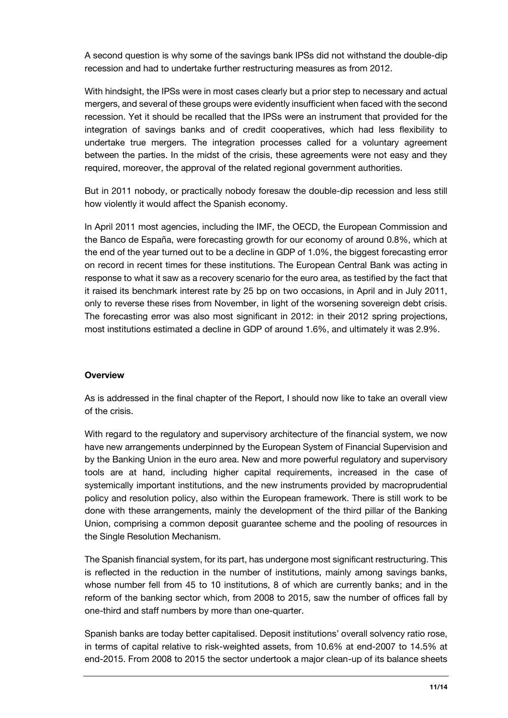A second question is why some of the savings bank IPSs did not withstand the double-dip recession and had to undertake further restructuring measures as from 2012.

With hindsight, the IPSs were in most cases clearly but a prior step to necessary and actual mergers, and several of these groups were evidently insufficient when faced with the second recession. Yet it should be recalled that the IPSs were an instrument that provided for the integration of savings banks and of credit cooperatives, which had less flexibility to undertake true mergers. The integration processes called for a voluntary agreement between the parties. In the midst of the crisis, these agreements were not easy and they required, moreover, the approval of the related regional government authorities.

But in 2011 nobody, or practically nobody foresaw the double-dip recession and less still how violently it would affect the Spanish economy.

In April 2011 most agencies, including the IMF, the OECD, the European Commission and the Banco de España, were forecasting growth for our economy of around 0.8%, which at the end of the year turned out to be a decline in GDP of 1.0%, the biggest forecasting error on record in recent times for these institutions. The European Central Bank was acting in response to what it saw as a recovery scenario for the euro area, as testified by the fact that it raised its benchmark interest rate by 25 bp on two occasions, in April and in July 2011, only to reverse these rises from November, in light of the worsening sovereign debt crisis. The forecasting error was also most significant in 2012: in their 2012 spring projections, most institutions estimated a decline in GDP of around 1.6%, and ultimately it was 2.9%.

## **Overview**

As is addressed in the final chapter of the Report, I should now like to take an overall view of the crisis.

With regard to the regulatory and supervisory architecture of the financial system, we now have new arrangements underpinned by the European System of Financial Supervision and by the Banking Union in the euro area. New and more powerful regulatory and supervisory tools are at hand, including higher capital requirements, increased in the case of systemically important institutions, and the new instruments provided by macroprudential policy and resolution policy, also within the European framework. There is still work to be done with these arrangements, mainly the development of the third pillar of the Banking Union, comprising a common deposit guarantee scheme and the pooling of resources in the Single Resolution Mechanism.

The Spanish financial system, for its part, has undergone most significant restructuring. This is reflected in the reduction in the number of institutions, mainly among savings banks, whose number fell from 45 to 10 institutions, 8 of which are currently banks; and in the reform of the banking sector which, from 2008 to 2015, saw the number of offices fall by one-third and staff numbers by more than one-quarter.

Spanish banks are today better capitalised. Deposit institutions' overall solvency ratio rose, in terms of capital relative to risk-weighted assets, from 10.6% at end-2007 to 14.5% at end-2015. From 2008 to 2015 the sector undertook a major clean-up of its balance sheets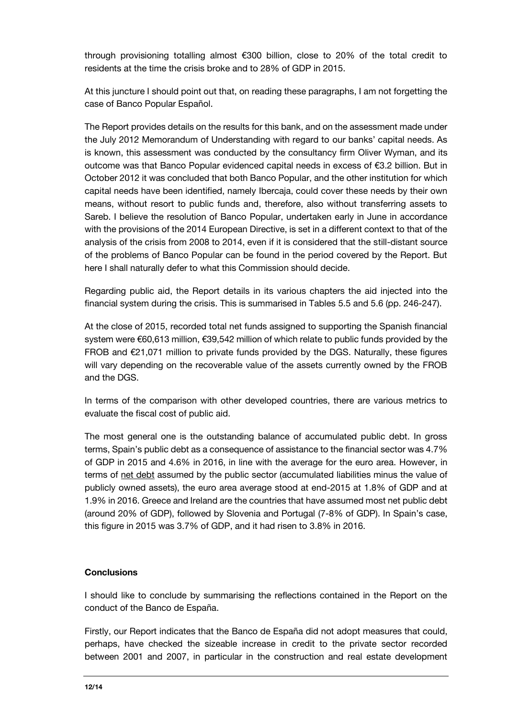through provisioning totalling almost €300 billion, close to 20% of the total credit to residents at the time the crisis broke and to 28% of GDP in 2015.

At this juncture I should point out that, on reading these paragraphs, I am not forgetting the case of Banco Popular Español.

The Report provides details on the results for this bank, and on the assessment made under the July 2012 Memorandum of Understanding with regard to our banks' capital needs. As is known, this assessment was conducted by the consultancy firm Oliver Wyman, and its outcome was that Banco Popular evidenced capital needs in excess of €3.2 billion. But in October 2012 it was concluded that both Banco Popular, and the other institution for which capital needs have been identified, namely Ibercaja, could cover these needs by their own means, without resort to public funds and, therefore, also without transferring assets to Sareb. I believe the resolution of Banco Popular, undertaken early in June in accordance with the provisions of the 2014 European Directive, is set in a different context to that of the analysis of the crisis from 2008 to 2014, even if it is considered that the still-distant source of the problems of Banco Popular can be found in the period covered by the Report. But here I shall naturally defer to what this Commission should decide.

Regarding public aid, the Report details in its various chapters the aid injected into the financial system during the crisis. This is summarised in Tables 5.5 and 5.6 (pp. 246-247).

At the close of 2015, recorded total net funds assigned to supporting the Spanish financial system were €60,613 million, €39,542 million of which relate to public funds provided by the FROB and  $E21,071$  million to private funds provided by the DGS. Naturally, these figures will vary depending on the recoverable value of the assets currently owned by the FROB and the DGS.

In terms of the comparison with other developed countries, there are various metrics to evaluate the fiscal cost of public aid.

The most general one is the outstanding balance of accumulated public debt. In gross terms, Spain's public debt as a consequence of assistance to the financial sector was 4.7% of GDP in 2015 and 4.6% in 2016, in line with the average for the euro area. However, in terms of net debt assumed by the public sector (accumulated liabilities minus the value of publicly owned assets), the euro area average stood at end-2015 at 1.8% of GDP and at 1.9% in 2016. Greece and Ireland are the countries that have assumed most net public debt (around 20% of GDP), followed by Slovenia and Portugal (7-8% of GDP). In Spain's case, this figure in 2015 was 3.7% of GDP, and it had risen to 3.8% in 2016.

## **Conclusions**

I should like to conclude by summarising the reflections contained in the Report on the conduct of the Banco de España.

Firstly, our Report indicates that the Banco de España did not adopt measures that could, perhaps, have checked the sizeable increase in credit to the private sector recorded between 2001 and 2007, in particular in the construction and real estate development